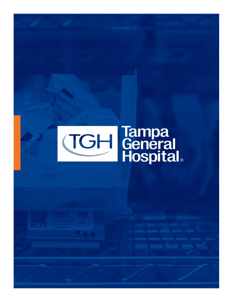# **TGH General**<br>Hospital®

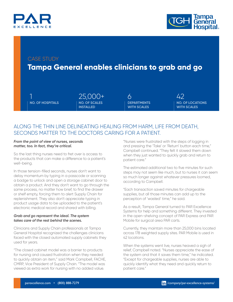



### CASE STUDY

# **Tampa General enables clinicians to grab and go**

**NO. OF HOSPITALS NO. OF SCALES** 

**INSTALLED** 1 25,000+ 6 42

**DEPARTMENTS WITH SCALES**

**NO. OF LOCATIONS WITH SCALES**

## ALONG THE THIN LINE DELINEATING HEALING FROM HARM, LIFE FROM DEATH, SECONDS MATTER TO THE DOCTORS CARING FOR A PATIENT.

#### *From the point of view of nurses, seconds matter, too. In fact, they're critical.*

So the last thing nurses need to fret over is access to the products that can make a difference to a patient's well-being.

In those tension-filled seconds, nurses don't want to delay momentum by typing in a passcode or scanning a badge to unlock and open a storage cabinet door to obtain a product. And they don't want to go through the same process, no matter how brief, to find the drawer or shelf empty, forcing them to alert Supply Chain for replenishment. They also don't appreciate typing in product usage data to be uploaded to the patient's electronic medical record and shared with billing.

#### *Grab and go represent the ideal. The system takes care of the rest behind the scenes.*

Clinicians and Supply Chain professionals at Tampa General Hospital recognized the challenges clinicians faced with the closed automated supply cabinets they used for years.

"The closed cabinet model was a barrier to products for nursing and caused frustration when they needed to quickly obtain an item," said Mark Campbell, FACHE, CMRP, Vice President of Supply Chain. "The model was viewed as extra work for nursing with no added value.

"Nurses were frustrated with the steps of logging in and pressing the 'Take' or 'Return' button each time," Campbell continued. "They felt it slowed them down when they just wanted to quickly grab and return to patient care."

The estimated additional two to five minutes for such steps may not seem like much, but to nurses it can seem so much longer against whatever pressures loomed, according to Campbell.

"Each transaction saved minutes for chargeable supplies, but all those minutes can add up to the perception of 'wasted' time," he said.

As a result, Tampa General turned to PAR Excellence Systems for help and something different. They invested in the open-shelving concept of PAR Express and PAR Mobile for surgical area PAR carts.

Currently, they maintain more than 25,000 bins located across 178 weighted supply sites. PAR Mobile is used in 42 locations.

When the systems went live, nurses heaved a sigh of relief, Campbell noted. "Nurses appreciate the ease of the system and that it saves them time," he indicated. "Except for chargeable supplies, nurses are able to quickly identify what they need and quickly return to patient care."